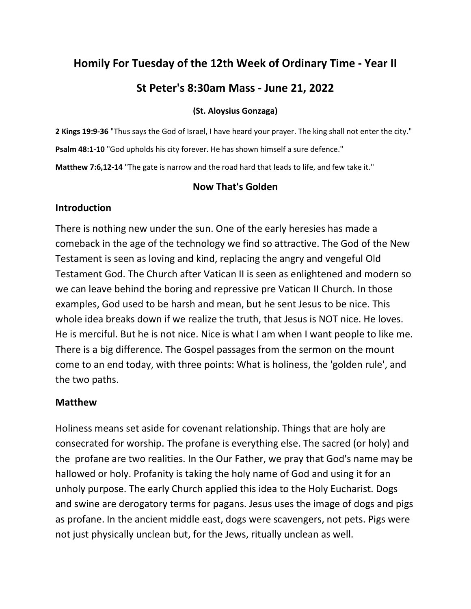# **Homily For Tuesday of the 12th Week of Ordinary Time - Year II**

## **St Peter's 8:30am Mass - June 21, 2022**

#### **(St. Aloysius Gonzaga)**

**2 Kings 19:9-36** "Thus says the God of Israel, I have heard your prayer. The king shall not enter the city." **Psalm 48:1-10** "God upholds his city forever. He has shown himself a sure defence." **Matthew 7:6,12-14** "The gate is narrow and the road hard that leads to life, and few take it."

#### **Now That's Golden**

#### **Introduction**

There is nothing new under the sun. One of the early heresies has made a comeback in the age of the technology we find so attractive. The God of the New Testament is seen as loving and kind, replacing the angry and vengeful Old Testament God. The Church after Vatican II is seen as enlightened and modern so we can leave behind the boring and repressive pre Vatican II Church. In those examples, God used to be harsh and mean, but he sent Jesus to be nice. This whole idea breaks down if we realize the truth, that Jesus is NOT nice. He loves. He is merciful. But he is not nice. Nice is what I am when I want people to like me. There is a big difference. The Gospel passages from the sermon on the mount come to an end today, with three points: What is holiness, the 'golden rule', and the two paths.

#### **Matthew**

Holiness means set aside for covenant relationship. Things that are holy are consecrated for worship. The profane is everything else. The sacred (or holy) and the profane are two realities. In the Our Father, we pray that God's name may be hallowed or holy. Profanity is taking the holy name of God and using it for an unholy purpose. The early Church applied this idea to the Holy Eucharist. Dogs and swine are derogatory terms for pagans. Jesus uses the image of dogs and pigs as profane. In the ancient middle east, dogs were scavengers, not pets. Pigs were not just physically unclean but, for the Jews, ritually unclean as well.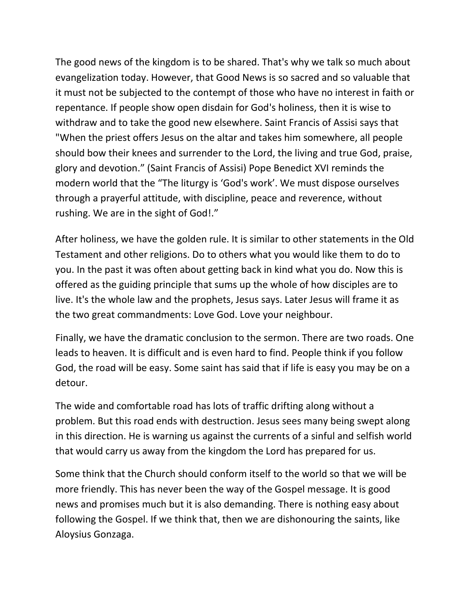The good news of the kingdom is to be shared. That's why we talk so much about evangelization today. However, that Good News is so sacred and so valuable that it must not be subjected to the contempt of those who have no interest in faith or repentance. If people show open disdain for God's holiness, then it is wise to withdraw and to take the good new elsewhere. Saint Francis of Assisi says that "When the priest offers Jesus on the altar and takes him somewhere, all people should bow their knees and surrender to the Lord, the living and true God, praise, glory and devotion." (Saint Francis of Assisi) Pope Benedict XVI reminds the modern world that the "The liturgy is 'God's work'. We must dispose ourselves through a prayerful attitude, with discipline, peace and reverence, without rushing. We are in the sight of God!."

After holiness, we have the golden rule. It is similar to other statements in the Old Testament and other religions. Do to others what you would like them to do to you. In the past it was often about getting back in kind what you do. Now this is offered as the guiding principle that sums up the whole of how disciples are to live. It's the whole law and the prophets, Jesus says. Later Jesus will frame it as the two great commandments: Love God. Love your neighbour.

Finally, we have the dramatic conclusion to the sermon. There are two roads. One leads to heaven. It is difficult and is even hard to find. People think if you follow God, the road will be easy. Some saint has said that if life is easy you may be on a detour.

The wide and comfortable road has lots of traffic drifting along without a problem. But this road ends with destruction. Jesus sees many being swept along in this direction. He is warning us against the currents of a sinful and selfish world that would carry us away from the kingdom the Lord has prepared for us.

Some think that the Church should conform itself to the world so that we will be more friendly. This has never been the way of the Gospel message. It is good news and promises much but it is also demanding. There is nothing easy about following the Gospel. If we think that, then we are dishonouring the saints, like Aloysius Gonzaga.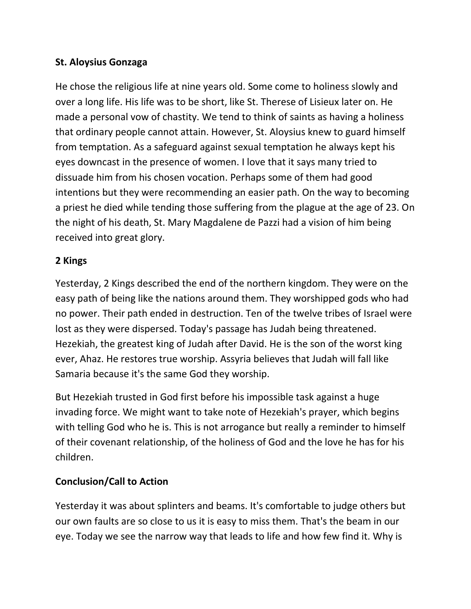### **St. Aloysius Gonzaga**

He chose the religious life at nine years old. Some come to holiness slowly and over a long life. His life was to be short, like St. Therese of Lisieux later on. He made a personal vow of chastity. We tend to think of saints as having a holiness that ordinary people cannot attain. However, St. Aloysius knew to guard himself from temptation. As a safeguard against sexual temptation he always kept his eyes downcast in the presence of women. I love that it says many tried to dissuade him from his chosen vocation. Perhaps some of them had good intentions but they were recommending an easier path. On the way to becoming a priest he died while tending those suffering from the plague at the age of 23. On the night of his death, St. Mary Magdalene de Pazzi had a vision of him being received into great glory.

#### **2 Kings**

Yesterday, 2 Kings described the end of the northern kingdom. They were on the easy path of being like the nations around them. They worshipped gods who had no power. Their path ended in destruction. Ten of the twelve tribes of Israel were lost as they were dispersed. Today's passage has Judah being threatened. Hezekiah, the greatest king of Judah after David. He is the son of the worst king ever, Ahaz. He restores true worship. Assyria believes that Judah will fall like Samaria because it's the same God they worship.

But Hezekiah trusted in God first before his impossible task against a huge invading force. We might want to take note of Hezekiah's prayer, which begins with telling God who he is. This is not arrogance but really a reminder to himself of their covenant relationship, of the holiness of God and the love he has for his children.

## **Conclusion/Call to Action**

Yesterday it was about splinters and beams. It's comfortable to judge others but our own faults are so close to us it is easy to miss them. That's the beam in our eye. Today we see the narrow way that leads to life and how few find it. Why is